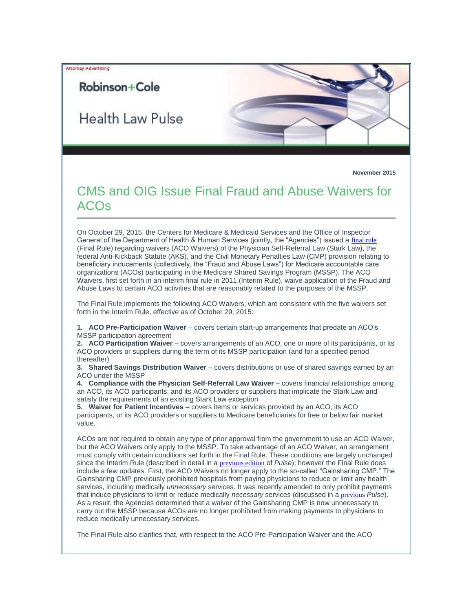## Attorney Advertising

## Robinson+Cole

## Health Law Pulse

**November 2015**

## CMS and OIG Issue Final Fraud and Abuse Waivers for ACOs

On October 29, 2015, the Centers for Medicare & Medicaid Services and the Office of Inspector General of the Department of Health & Human Services (jointly, the "Agencies") issued a [final rule](http://t2806904.omkt.co/track.aspx?id=402|2AD478|6F10|54A3|E00|0|1667|1|701559C4&destination=http%3a%2f%2fwww.gpo.gov%2ffdsys%2fpkg%2fFR-2015-10-29%2fpdf%2f2015-27599.pdf&dchk=7EEC3ABA) (Final Rule) regarding waivers (ACO Waivers) of the Physician Self-Referral Law (Stark Law), the federal Anti-Kickback Statute (AKS), and the Civil Monetary Penalties Law (CMP) provision relating to beneficiary inducements (collectively, the "Fraud and Abuse Laws") for Medicare accountable care organizations (ACOs) participating in the Medicare Shared Savings Program (MSSP). The ACO Waivers, first set forth in an interim final rule in 2011 (Interim Rule), waive application of the Fraud and Abuse Laws to certain ACO activities that are reasonably related to the purposes of the MSSP.

The Final Rule implements the following ACO Waivers, which are consistent with the five waivers set forth in the Interim Rule, effective as of October 29, 2015:

**1. ACO Pre-Participation Waiver** – covers certain start-up arrangements that predate an ACO's MSSP participation agreement

**2. ACO Participation Waiver** – covers arrangements of an ACO, one or more of its participants, or its ACO providers or suppliers during the term of its MSSP participation (and for a specified period thereafter)

**3. Shared Savings Distribution Waiver** – covers distributions or use of shared savings earned by an ACO under the MSSP

**4. Compliance with the Physician Self-Referral Law Waiver** – covers financial relationships among an ACO, its ACO participants, and its ACO providers or suppliers that implicate the Stark Law and satisfy the requirements of an existing Stark Law exception

**5. Waiver for Patient Incentives** – covers items or services provided by an ACO, its ACO participants, or its ACO providers or suppliers to Medicare beneficiaries for free or below fair market value.

ACOs are not required to obtain any type of prior approval from the government to use an ACO Waiver, but the ACO Waivers only apply to the MSSP. To take advantage of an ACO Waiver, an arrangement must comply with certain conditions set forth in the Final Rule. These conditions are largely unchanged since the Interim Rule (described in detail in a [previous edition](http://t2806904.omkt.co/track.aspx?id=402|2AD478|6F10|54A3|E00|0|1668|1|701559C4&destination=http%3a%2f%2fwww.rc.com%2fpublications%2fupload%2f2079.pdf%3futm_source%3dVocus%26utm_medium%3demail%26utm_campaign%3dRobinson%2b%2526%2bCole%2bLLP%26utm_content%3dBHC%2b%2bHealth%2bLaw%2bPulse%2b%2b112415&dchk=15218E9A) of *Pulse*); however the Final Rule does include a few updates. First, the ACO Waivers no longer apply to the so-called "Gainsharing CMP." The Gainsharing CMP previously prohibited hospitals from paying physicians to reduce or limit any health services, including medically *unnecessary* services. It was recently amended to only prohibit payments that induce physicians to limit or reduce medically *necessary* services (discussed in a [previous](http://t2806904.omkt.co/track.aspx?id=402|2AD478|6F10|54A3|E00|0|1669|1|701559C4&destination=http%3a%2f%2fwww.rc.com%2fpublications%2fupload%2fLegal-Update_Health-Law-Pulse_6-8-15.pdf%3futm_source%3dVocus%26utm_medium%3demail%26utm_campaign%3dRobinson%2b%2526%2bCole%2bLLP%26utm_content%3dBHC%2b%2bHealth%2bLaw%2bPulse%2b%2b112415&dchk=AD6F236) *Pulse*). As a result, the Agencies determined that a waiver of the Gainsharing CMP is now unnecessary to carry out the MSSP because ACOs are no longer prohibited from making payments to physicians to reduce medically unnecessary services.

The Final Rule also clarifies that, with respect to the ACO Pre-Participation Waiver and the ACO